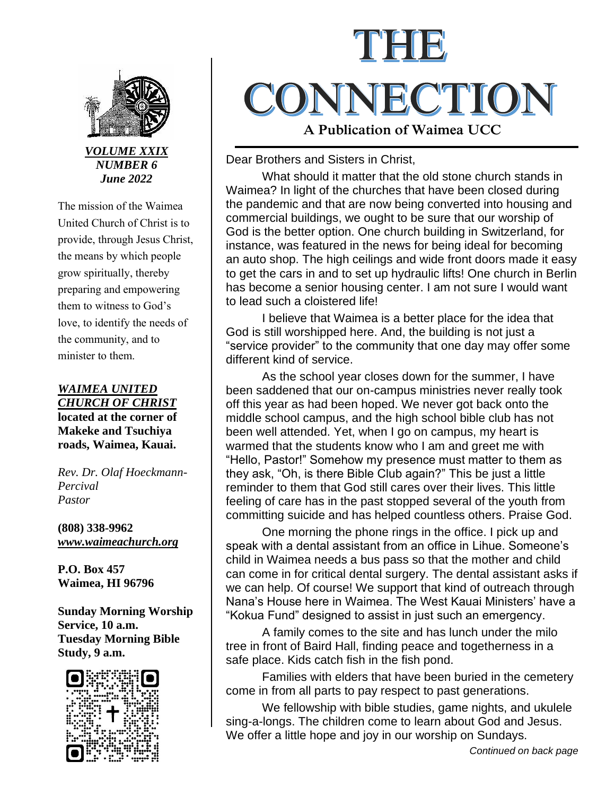

*VOLUME XXIX NUMBER 6 June 2022*

The mission of the Waimea United Church of Christ is to provide, through Jesus Christ, the means by which people grow spiritually, thereby preparing and empowering them to witness to God's love, to identify the needs of the community, and to minister to them.

*WAIMEA UNITED CHURCH OF CHRIST* **located at the corner of Makeke and Tsuchiya roads, Waimea, Kauai.**

*Rev. Dr. Olaf Hoeckmann-Percival Pastor*

**(808) 338-9962** *[www.waimeachurch.org](http://www.waimeachurch.org/)*

**P.O. Box 457 Waimea, HI 96796**

**Sunday Morning Worship Service, 10 a.m. Tuesday Morning Bible Study, 9 a.m.**



# CONNECTION **A Publication of Waimea UCC**

### Dear Brothers and Sisters in Christ,

What should it matter that the old stone church stands in Waimea? In light of the churches that have been closed during the pandemic and that are now being converted into housing and commercial buildings, we ought to be sure that our worship of God is the better option. One church building in Switzerland, for instance, was featured in the news for being ideal for becoming an auto shop. The high ceilings and wide front doors made it easy to get the cars in and to set up hydraulic lifts! One church in Berlin has become a senior housing center. I am not sure I would want to lead such a cloistered life!

I believe that Waimea is a better place for the idea that God is still worshipped here. And, the building is not just a "service provider" to the community that one day may offer some different kind of service.

As the school year closes down for the summer, I have been saddened that our on-campus ministries never really took off this year as had been hoped. We never got back onto the middle school campus, and the high school bible club has not been well attended. Yet, when I go on campus, my heart is warmed that the students know who I am and greet me with "Hello, Pastor!" Somehow my presence must matter to them as they ask, "Oh, is there Bible Club again?" This be just a little reminder to them that God still cares over their lives. This little feeling of care has in the past stopped several of the youth from committing suicide and has helped countless others. Praise God.

One morning the phone rings in the office. I pick up and speak with a dental assistant from an office in Lihue. Someone's child in Waimea needs a bus pass so that the mother and child can come in for critical dental surgery. The dental assistant asks if we can help. Of course! We support that kind of outreach through Nana's House here in Waimea. The West Kauai Ministers' have a "Kokua Fund" designed to assist in just such an emergency.

A family comes to the site and has lunch under the milo tree in front of Baird Hall, finding peace and togetherness in a safe place. Kids catch fish in the fish pond.

Families with elders that have been buried in the cemetery come in from all parts to pay respect to past generations.

We fellowship with bible studies, game nights, and ukulele sing-a-longs. The children come to learn about God and Jesus. We offer a little hope and joy in our worship on Sundays.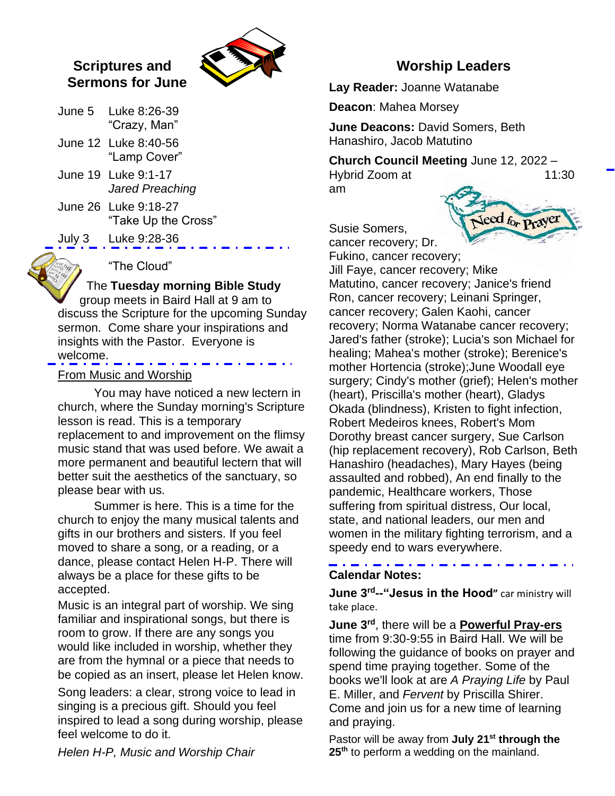# **Scriptures and Sermons for June**



- June 5 Luke 8:26-39 "Crazy, Man"
- June 12 Luke 8:40-56 "Lamp Cover"
- June 19 Luke 9:1-17 *Jared Preaching*
- June 26 Luke 9:18-27 "Take Up the Cross"
- July 3 Luke 9:28-36

# "The Cloud"

# The **Tuesday morning Bible Study**

group meets in Baird Hall at 9 am to discuss the Scripture for the upcoming Sunday sermon. Come share your inspirations and insights with the Pastor. Everyone is welcome.

#### From Music and Worship

You may have noticed a new lectern in church, where the Sunday morning's Scripture lesson is read. This is a temporary replacement to and improvement on the flimsy music stand that was used before. We await a more permanent and beautiful lectern that will better suit the aesthetics of the sanctuary, so please bear with us.

Summer is here. This is a time for the church to enjoy the many musical talents and gifts in our brothers and sisters. If you feel moved to share a song, or a reading, or a dance, please contact Helen H-P. There will always be a place for these gifts to be accepted.

Music is an integral part of worship. We sing familiar and inspirational songs, but there is room to grow. If there are any songs you would like included in worship, whether they are from the hymnal or a piece that needs to be copied as an insert, please let Helen know.

Song leaders: a clear, strong voice to lead in singing is a precious gift. Should you feel inspired to lead a song during worship, please feel welcome to do it.

**Worship Leaders**

**Lay Reader:** Joanne Watanabe

**Deacon**: Mahea Morsey

**June Deacons:** David Somers, Beth Hanashiro, Jacob Matutino

**Church Council Meeting** June 12, 2022 – Hybrid Zoom at 11:30 am

Jeed for Prayer

Susie Somers, cancer recovery; Dr.

Fukino, cancer recovery; Jill Faye, cancer recovery; Mike Matutino, cancer recovery; Janice's friend Ron, cancer recovery; Leinani Springer, cancer recovery; Galen Kaohi, cancer recovery; Norma Watanabe cancer recovery; Jared's father (stroke); Lucia's son Michael for healing; Mahea's mother (stroke); Berenice's mother Hortencia (stroke);June Woodall eye surgery; Cindy's mother (grief); Helen's mother (heart), Priscilla's mother (heart), Gladys Okada (blindness), Kristen to fight infection, Robert Medeiros knees, Robert's Mom Dorothy breast cancer surgery, Sue Carlson (hip replacement recovery), Rob Carlson, Beth Hanashiro (headaches), Mary Hayes (being assaulted and robbed), An end finally to the pandemic, Healthcare workers, Those suffering from spiritual distress, Our local, state, and national leaders, our men and women in the military fighting terrorism, and a speedy end to wars everywhere.

# **Calendar Notes:**

**June 3rd--"Jesus in the Hood"** car ministry will take place.

**June 3rd**, there will be a **Powerful Pray-ers** time from 9:30-9:55 in Baird Hall. We will be following the guidance of books on prayer and spend time praying together. Some of the books we'll look at are *A Praying Life* by Paul E. Miller, and *Fervent* by Priscilla Shirer. Come and join us for a new time of learning and praying.

Pastor will be away from **July 21st through the 25th** to perform a wedding on the mainland.

*Helen H-P, Music and Worship Chair*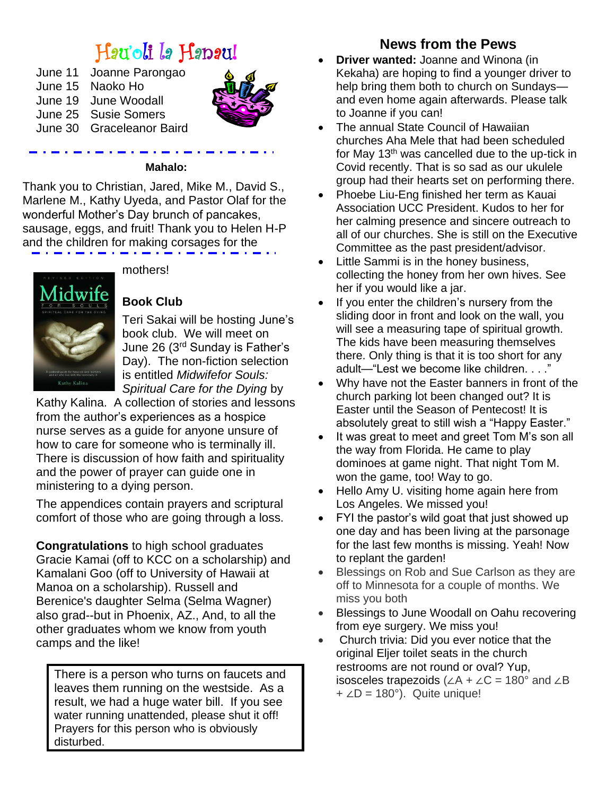# Hau'oli la Hanau!

| June 11 | Joanne Parongao           |
|---------|---------------------------|
| June 15 | Naoko Ho                  |
| June 19 | June Woodall              |
|         | June 25 Susie Somers      |
|         | June 30 Graceleanor Baird |
|         |                           |



#### **Mahalo:**

Thank you to Christian, Jared, Mike M., David S., Marlene M., Kathy Uyeda, and Pastor Olaf for the wonderful Mother's Day brunch of pancakes, sausage, eggs, and fruit! Thank you to Helen H-P and the children for making corsages for the



mothers!

# **Book Club**

Teri Sakai will be hosting June's book club. We will meet on June 26 (3rd Sunday is Father's Day). The non-fiction selection is entitled *Midwifefor Souls: Spiritual Care for the Dying* by

Kathy Kalina. A collection of stories and lessons from the author's experiences as a hospice nurse serves as a guide for anyone unsure of how to care for someone who is terminally ill. There is discussion of how faith and spirituality and the power of prayer can guide one in ministering to a dying person.

The appendices contain prayers and scriptural comfort of those who are going through a loss.

**Congratulations** to high school graduates Gracie Kamai (off to KCC on a scholarship) and Kamalani Goo (off to University of Hawaii at Manoa on a scholarship). Russell and Berenice's daughter Selma (Selma Wagner) also grad--but in Phoenix, AZ., And, to all the other graduates whom we know from youth camps and the like!

There is a person who turns on faucets and leaves them running on the westside. As a result, we had a huge water bill. If you see water running unattended, please shut it off! Prayers for this person who is obviously disturbed.

# **News from the Pews**

- **Driver wanted:** Joanne and Winona (in Kekaha) are hoping to find a younger driver to help bring them both to church on Sundays and even home again afterwards. Please talk to Joanne if you can!
- The annual State Council of Hawaiian churches Aha Mele that had been scheduled for May 13th was cancelled due to the up-tick in Covid recently. That is so sad as our ukulele group had their hearts set on performing there.
- Phoebe Liu-Eng finished her term as Kauai Association UCC President. Kudos to her for her calming presence and sincere outreach to all of our churches. She is still on the Executive Committee as the past president/advisor.
- Little Sammi is in the honey business, collecting the honey from her own hives. See her if you would like a jar.
- If you enter the children's nursery from the sliding door in front and look on the wall, you will see a measuring tape of spiritual growth. The kids have been measuring themselves there. Only thing is that it is too short for any adult—"Lest we become like children. . . ."
- Why have not the Easter banners in front of the church parking lot been changed out? It is Easter until the Season of Pentecost! It is absolutely great to still wish a "Happy Easter."
- It was great to meet and greet Tom M's son all the way from Florida. He came to play dominoes at game night. That night Tom M. won the game, too! Way to go.
- Hello Amy U. visiting home again here from Los Angeles. We missed you!
- FYI the pastor's wild goat that just showed up one day and has been living at the parsonage for the last few months is missing. Yeah! Now to replant the garden!
- Blessings on Rob and Sue Carlson as they are off to Minnesota for a couple of months. We miss you both
- Blessings to June Woodall on Oahu recovering from eye surgery. We miss you!
- Church trivia: Did you ever notice that the original Eljer toilet seats in the church restrooms are not round or oval? Yup, isosceles trapezoids ( $∠A + ∠C = 180°$  and  $∠B$  $+$  ∠D = 180°). Quite unique!